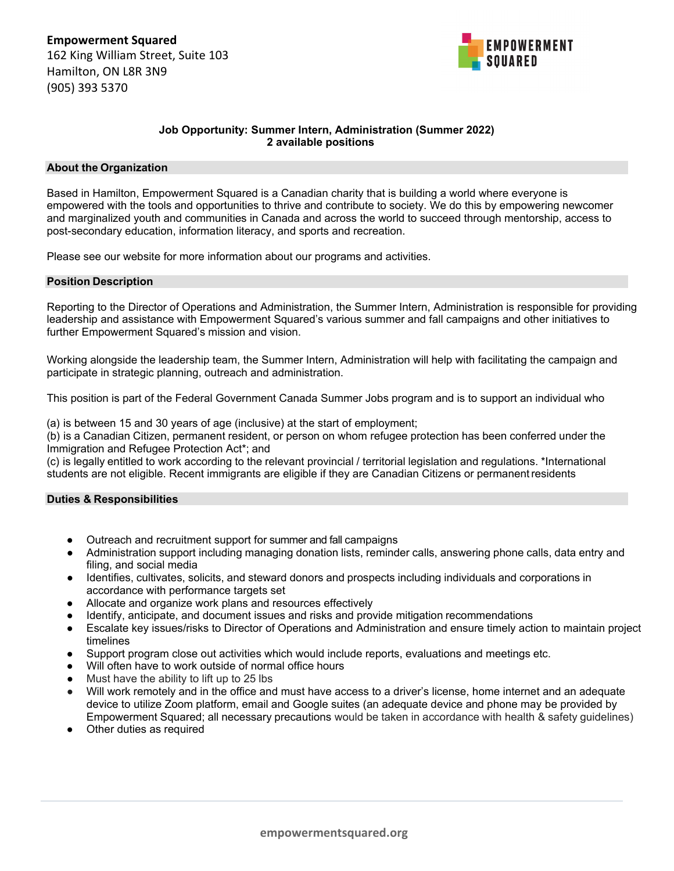

# **Job Opportunity: Summer Intern, Administration (Summer 2022) 2 available positions**

### **About the Organization**

Based in Hamilton, Empowerment Squared is a Canadian charity that is building a world where everyone is empowered with the tools and opportunities to thrive and contribute to society. We do this by empowering newcomer and marginalized youth and communities in Canada and across the world to succeed through mentorship, access to post-secondary education, information literacy, and sports and recreation.

Please see our website for more information about our programs and activities.

### **Position Description**

Reporting to the Director of Operations and Administration, the Summer Intern, Administration is responsible for providing leadership and assistance with Empowerment Squared's various summer and fall campaigns and other initiatives to further Empowerment Squared's mission and vision.

Working alongside the leadership team, the Summer Intern, Administration will help with facilitating the campaign and participate in strategic planning, outreach and administration.

This position is part of the Federal Government Canada Summer Jobs program and is to support an individual who

(a) is between 15 and 30 years of age (inclusive) at the start of employment;

(b) is a Canadian Citizen, permanent resident, or person on whom refugee protection has been conferred under the Immigration and Refugee Protection Act\*; and

(c) is legally entitled to work according to the relevant provincial / territorial legislation and regulations. \*International students are not eligible. Recent immigrants are eligible if they are Canadian Citizens or permanent residents

## **Duties & Responsibilities**

- Outreach and recruitment support for summer and fall campaigns
- Administration support including managing donation lists, reminder calls, answering phone calls, data entry and filing, and social media
- Identifies, cultivates, solicits, and steward donors and prospects including individuals and corporations in accordance with performance targets set
- Allocate and organize work plans and resources effectively
- Identify, anticipate, and document issues and risks and provide mitigation recommendations
- Escalate key issues/risks to Director of Operations and Administration and ensure timely action to maintain project timelines
- Support program close out activities which would include reports, evaluations and meetings etc.
- Will often have to work outside of normal office hours
- Must have the ability to lift up to 25 lbs
- Will work remotely and in the office and must have access to a driver's license, home internet and an adequate device to utilize Zoom platform, email and Google suites (an adequate device and phone may be provided by Empowerment Squared; all necessary precautions would be taken in accordance with health & safety guidelines)
- Other duties as required